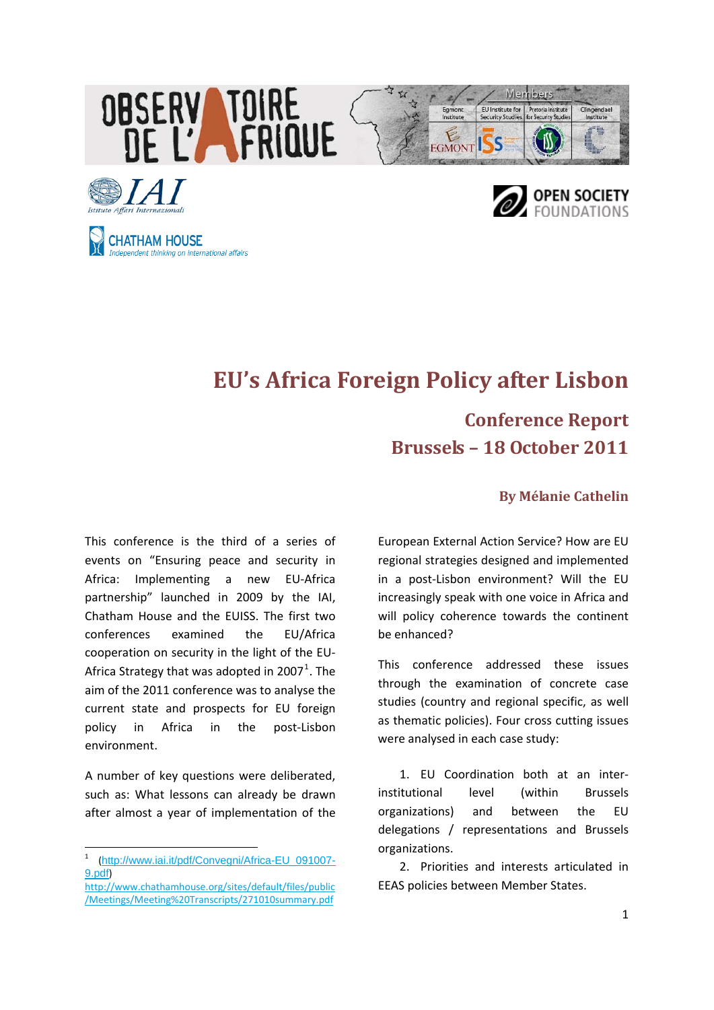



# **EU's Africa Foreign Policy after Lisbon**

# **Conference Report Brussels – 18 October 2011**

#### **By Mélanie Cathelin**

This conference is the third of a series of events on "Ensuring peace and security in Africa: Implementing a new EU‐Africa partnership" launched in 2009 by the IAI, Chatham House and the EUISS. The first two conferences examined the EU/Africa cooperation on security in the light of the EU‐ Africa Strategy that was adopted in 2007<sup>[1](#page-0-0)</sup>. The aim of the 2011 conference was to analyse the current state and prospects for EU foreign policy in Africa in the post‐Lisbon environment.

A number of key questions were deliberated, such as: What lessons can already be drawn after almost a year of implementation of the

**CHATHAM HOUSE** 

Independent thinking on international affairs

European External Action Service? How are EU regional strategies designed and implemented in a post‐Lisbon environment? Will the EU increasingly speak with one voice in Africa and will policy coherence towards the continent be enhanced?

This conference addressed these issues through the examination of concrete case studies (country and regional specific, as well as thematic policies). Four cross cutting issues were analysed in each case study:

1. EU Coordination both at an inter‐ institutional level (within Brussels organizations) and between the EU delegations / representations and Brussels organizations.

2. Priorities and interests articulated in EEAS policies between Member States.

<span id="page-0-0"></span><sup>1</sup> ([http://www.iai.it/pdf/Convegni/Africa-EU\\_091007-](http://www.iai.it/pdf/Convegni/Africa-EU_091007-9.pdf) [9.pdf](http://www.iai.it/pdf/Convegni/Africa-EU_091007-9.pdf))

[http://www.chathamhouse.org/sites/default/files/public](http://www.chathamhouse.org/sites/default/files/public/Meetings/Meeting%20Transcripts/271010summary.pdf) [/Meetings/Meeting%20Transcripts/271010summary.pdf](http://www.chathamhouse.org/sites/default/files/public/Meetings/Meeting%20Transcripts/271010summary.pdf)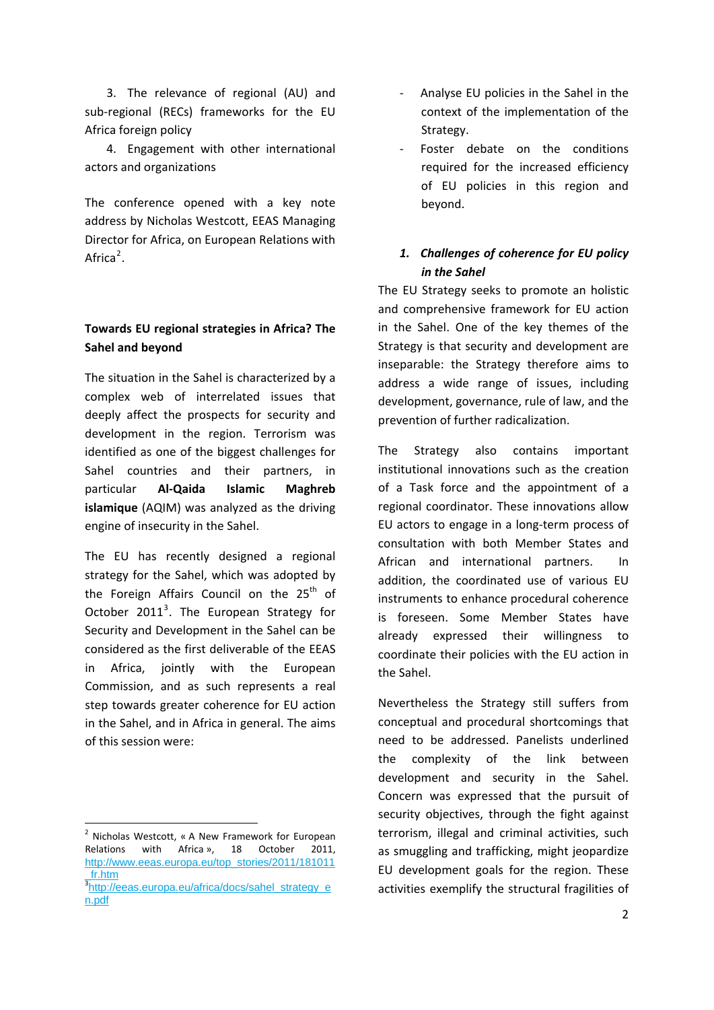3. The relevance of regional (AU) and sub-regional (RECs) frameworks for the EU Africa foreign policy

4. Engagement with other international actors and organizations

The conference opened with a key note address by Nicholas Westcott, EEAS Managing Director for Africa, on European Relations with Africa<sup>[2](#page-1-0)</sup>.

## **Towards EU regional strategies in Africa? The Sahel and beyond**

The situation in the Sahel is characterized by a complex web of interrelated issues that deeply affect the prospects for security and development in the region. Terrorism was identified as one of the biggest challenges for Sahel countries and their partners, in particular **Al‐Qaida Islamic Maghreb islamique** (AQIM) was analyzed as the driving engine of insecurity in the Sahel.

The EU has recently designed a regional strategy for the Sahel, which was adopted by the Foreign Affairs Council on the 25<sup>th</sup> of October 2011<sup>[3](#page-1-1)</sup>. The European Strategy for Security and Development in the Sahel can be considered as the first deliverable of the EEAS in Africa, jointly with the European Commission, and as such represents a real step towards greater coherence for EU action in the Sahel, and in Africa in general. The aims of this session were:

- ‐ Analyse EU policies in the Sahel in the context of the implementation of the Strategy.
- Foster debate on the conditions required for the increased efficiency of EU policies in this region and beyond.

## *1. Challenges of coherence for EU policy in the Sahel*

The EU Strategy seeks to promote an holistic and comprehensive framework for EU action in the Sahel. One of the key themes of the Strategy is that security and development are inseparable: the Strategy therefore aims to address a wide range of issues, including development, governance, rule of law, and the prevention of further radicalization.

The Strategy also contains important institutional innovations such as the creation of a Task force and the appointment of a regional coordinator. These innovations allow EU actors to engage in a long‐term process of consultation with both Member States and African and international partners. In addition, the coordinated use of various EU instruments to enhance procedural coherence is foreseen. Some Member States have already expressed their willingness to coordinate their policies with the EU action in the Sahel.

Nevertheless the Strategy still suffers from conceptual and procedural shortcomings that need to be addressed. Panelists underlined the complexity of the link between development and security in the Sahel. Concern was expressed that the pursuit of security objectives, through the fight against terrorism, illegal and criminal activities, such as smuggling and trafficking, might jeopardize EU development goals for the region. These activities exemplify the structural fragilities of

<span id="page-1-0"></span><sup>2</sup> Nicholas Westcott, « A New Framework for European Relations with Africa », 18 October 2011, [http://www.eeas.europa.eu/top\\_stories/2011/181011](http://www.eeas.europa.eu/top_stories/2011/181011_fr.htm) <mark>[\\_fr.htm](http://www.eeas.europa.eu/top_stories/2011/181011_fr.htm)</mark><br><sup>3</sup>[http://eeas.europa.eu/africa/docs/sahel\\_strategy\\_e](http://eeas.europa.eu/africa/docs/sahel_strategy_en.pdf)

<span id="page-1-1"></span>[n.pdf](http://eeas.europa.eu/africa/docs/sahel_strategy_en.pdf)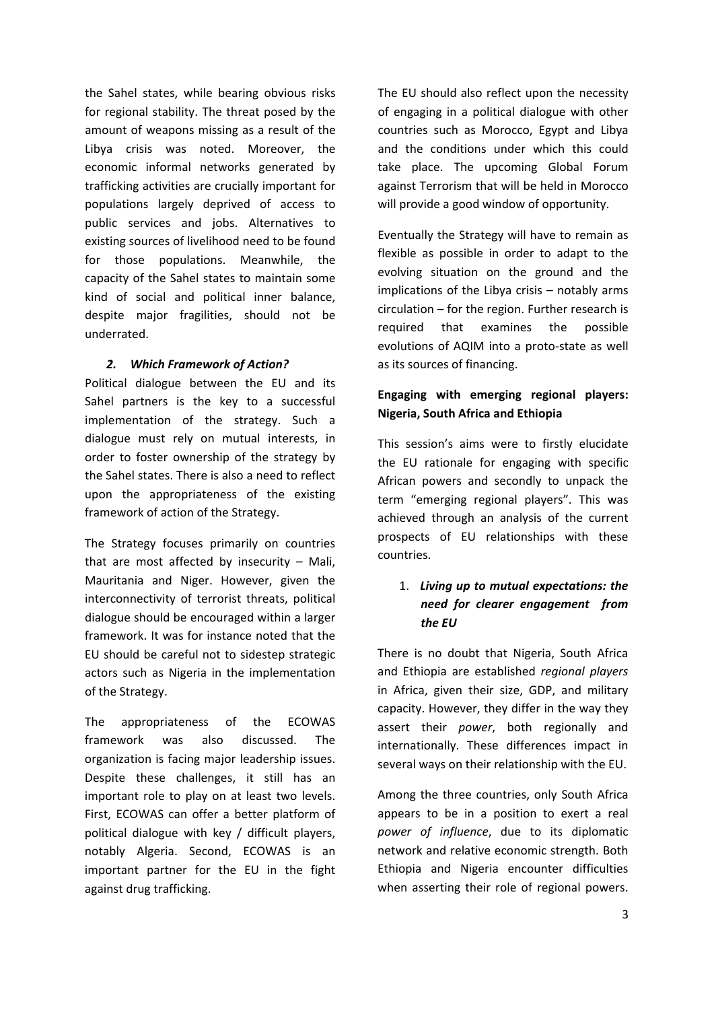the Sahel states, while bearing obvious risks for regional stability. The threat posed by the amount of weapons missing as a result of the Libya crisis was noted. Moreover, the economic informal networks generated by trafficking activities are crucially important for populations largely deprived of access to public services and jobs. Alternatives to existing sources of livelihood need to be found for those populations. Meanwhile, the capacity of the Sahel states to maintain some kind of social and political inner balance, despite major fragilities, should not be underrated.

#### *2. Which Framework of Action?*

Political dialogue between the EU and its Sahel partners is the key to a successful implementation of the strategy. Such a dialogue must rely on mutual interests, in order to foster ownership of the strategy by the Sahel states. There is also a need to reflect upon the appropriateness of the existing framework of action of the Strategy.

The Strategy focuses primarily on countries that are most affected by insecurity – Mali, Mauritania and Niger. However, given the interconnectivity of terrorist threats, political dialogue should be encouraged within a larger framework. It was for instance noted that the EU should be careful not to sidestep strategic actors such as Nigeria in the implementation of the Strategy.

The appropriateness of the ECOWAS framework was also discussed. The organization is facing major leadership issues. Despite these challenges, it still has an important role to play on at least two levels. First, ECOWAS can offer a better platform of political dialogue with key / difficult players, notably Algeria. Second, ECOWAS is an important partner for the EU in the fight against drug trafficking.

The EU should also reflect upon the necessity of engaging in a political dialogue with other countries such as Morocco, Egypt and Libya and the conditions under which this could take place. The upcoming Global Forum against Terrorism that will be held in Morocco will provide a good window of opportunity.

Eventually the Strategy will have to remain as flexible as possible in order to adapt to the evolving situation on the ground and the implications of the Libya crisis – notably arms circulation – for the region. Further research is required that examines the possible evolutions of AQIM into a proto‐state as well as its sources of financing.

#### **Engaging with emerging regional players: Nigeria, South Africa and Ethiopia**

This session's aims were to firstly elucidate the EU rationale for engaging with specific African powers and secondly to unpack the term "emerging regional players". This was achieved through an analysis of the current prospects of EU relationships with these countries.

#### 1. *Living up to mutual expectations: the need for clearer engagement from the EU*

There is no doubt that Nigeria, South Africa and Ethiopia are established *regional players* in Africa, given their size, GDP, and military capacity. However, they differ in the way they assert their *power*, both regionally and internationally. These differences impact in several ways on their relationship with the EU.

Among the three countries, only South Africa appears to be in a position to exert a real *power of influence*, due to its diplomatic network and relative economic strength. Both Ethiopia and Nigeria encounter difficulties when asserting their role of regional powers.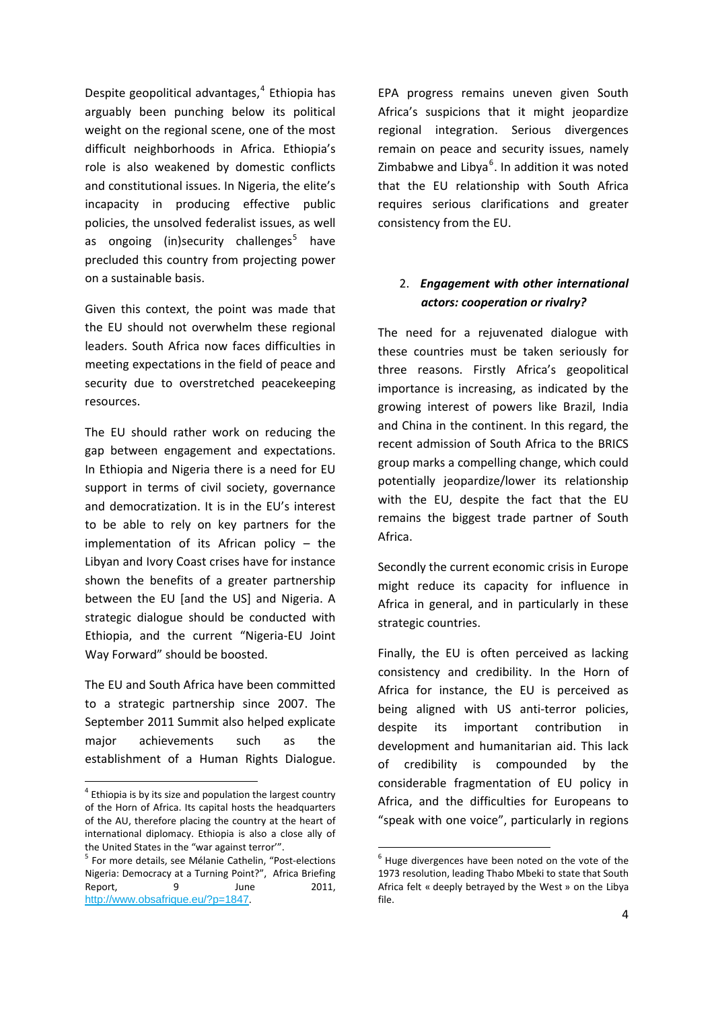Despite geopolitical advantages, $4$  Ethiopia has arguably been punching below its political weight on the regional scene, one of the most difficult neighborhoods in Africa. Ethiopia's role is also weakened by domestic conflicts and constitutional issues. In Nigeria, the elite's incapacity in producing effective public policies, the unsolved federalist issues, as well as ongoing (in)security challenges<sup>[5](#page-3-1)</sup> have precluded this country from projecting power on a sustainable basis.

Given this context, the point was made that the EU should not overwhelm these regional leaders. South Africa now faces difficulties in meeting expectations in the field of peace and security due to overstretched peacekeeping resources.

The EU should rather work on reducing the gap between engagement and expectations. In Ethiopia and Nigeria there is a need for EU support in terms of civil society, governance and democratization. It is in the EU's interest to be able to rely on key partners for the implementation of its African policy – the Libyan and Ivory Coast crises have for instance shown the benefits of a greater partnership between the EU [and the US] and Nigeria. A strategic dialogue should be conducted with Ethiopia, and the current "Nigeria‐EU Joint Way Forward" should be boosted.

The EU and South Africa have been committed to a strategic partnership since 2007. The September 2011 Summit also helped explicate major achievements such as the establishment of a Human Rights Dialogue.

EPA progress remains uneven given South Africa's suspicions that it might jeopardize regional integration. Serious divergences remain on peace and security issues, namely Zimbabwe and Libya<sup>[6](#page-3-1)</sup>. In addition it was noted that the EU relationship with South Africa requires serious clarifications and greater consistency from the EU.

#### 2. *Engagement with other international actors: cooperation or rivalry?*

The need for a rejuvenated dialogue with these countries must be taken seriously for three reasons. Firstly Africa's geopolitical importance is increasing, as indicated by the growing interest of powers like Brazil, India and China in the continent. In this regard, the recent admission of South Africa to the BRICS group marks a compelling change, which could potentially jeopardize/lower its relationship with the EU, despite the fact that the EU remains the biggest trade partner of South Africa.

Secondly the current economic crisis in Europe might reduce its capacity for influence in Africa in general, and in particularly in these strategic countries.

Finally, the EU is often perceived as lacking consistency and credibility. In the Horn of Africa for instance, the EU is perceived as being aligned with US anti-terror policies, despite its important contribution in development and humanitarian aid. This lack of credibility is compounded by the considerable fragmentation of EU policy in Africa, and the difficulties for Europeans to "speak with one voice", particularly in regions

<span id="page-3-0"></span><sup>4</sup> Ethiopia is by its size and population the largest country of the Horn of Africa. Its capital hosts the headquarters of the AU, therefore placing the country at the heart of international diplomacy. Ethiopia is also a close ally of

<span id="page-3-1"></span>the United States in the "war against terror".<br>
<sup>5</sup> For more details, see Mélanie Cathelin, "Post-elections Nigeria: Democracy at a Turning Point?", Africa Briefing Report, 9 June 2011, <http://www.obsafrique.eu/?p=1847>.

 $6$  Huge divergences have been noted on the vote of the 1973 resolution, leading Thabo Mbeki to state that South Africa felt « deeply betrayed by the West » on the Libya file.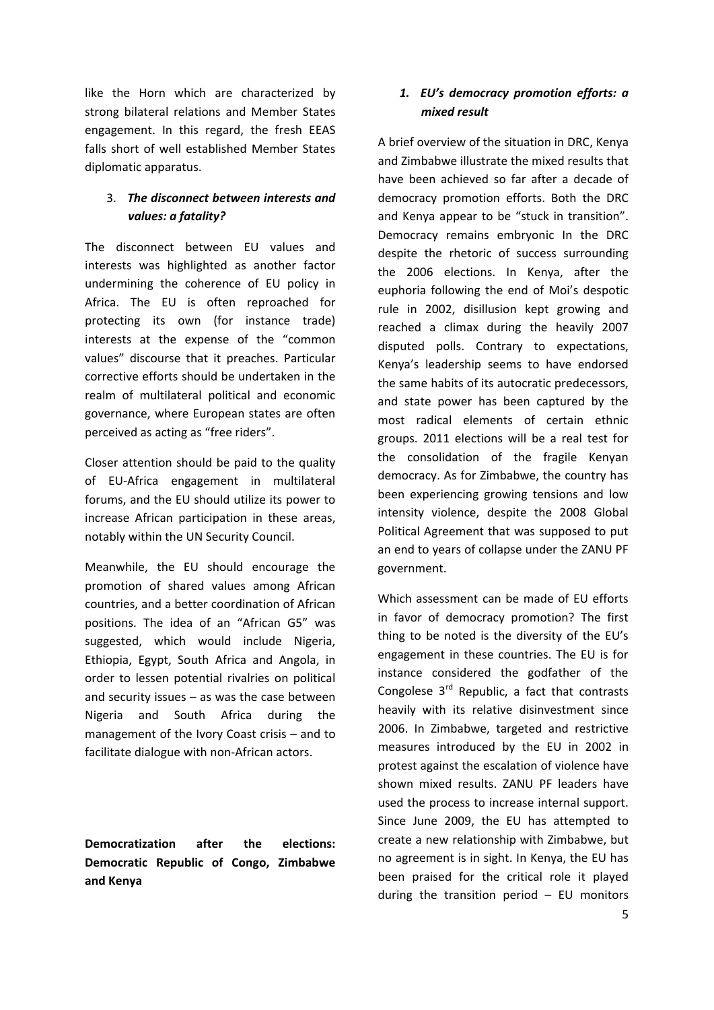like the Horn which are characterized by strong bilateral relations and Member States engagement. In this regard, the fresh EEAS falls short of well established Member States diplomatic apparatus.

#### 3. *The disconnect between interests and values: a fatality?*

The disconnect between EU values and interests was highlighted as another factor undermining the coherence of EU policy in Africa. The EU is often reproached for protecting its own (for instance trade) interests at the expense of the "common values" discourse that it preaches. Particular corrective efforts should be undertaken in the realm of multilateral political and economic governance, where European states are often perceived as acting as "free riders".

Closer attention should be paid to the quality of EU‐Africa engagement in multilateral forums, and the EU should utilize its power to increase African participation in these areas, notably within the UN Security Council.

Meanwhile, the EU should encourage the promotion of shared values among African countries, and a better coordination of African positions. The idea of an "African G5" was suggested, which would include Nigeria, Ethiopia, Egypt, South Africa and Angola, in order to lessen potential rivalries on political and security issues – as was the case between Nigeria and South Africa during the management of the Ivory Coast crisis – and to facilitate dialogue with non‐African actors.

**Democratization after the elections: Democratic Republic of Congo, Zimbabwe and Kenya**

#### *1. EU's democracy promotion efforts: a mixed result*

A brief overview of the situation in DRC, Kenya and Zimbabwe illustrate the mixed results that have been achieved so far after a decade of democracy promotion efforts. Both the DRC and Kenya appear to be "stuck in transition". Democracy remains embryonic In the DRC despite the rhetoric of success surrounding the 2006 elections. In Kenya, after the euphoria following the end of Moi's despotic rule in 2002, disillusion kept growing and reached a climax during the heavily 2007 disputed polls. Contrary to expectations, Kenya's leadership seems to have endorsed the same habits of its autocratic predecessors, and state power has been captured by the most radical elements of certain ethnic groups. 2011 elections will be a real test for the consolidation of the fragile Kenyan democracy. As for Zimbabwe, the country has been experiencing growing tensions and low intensity violence, despite the 2008 Global Political Agreement that was supposed to put an end to years of collapse under the ZANU PF government.

Which assessment can be made of EU efforts in favor of democracy promotion? The first thing to be noted is the diversity of the EU's engagement in these countries. The EU is for instance considered the godfather of the Congolese  $3^{rd}$  Republic, a fact that contrasts heavily with its relative disinvestment since 2006. In Zimbabwe, targeted and restrictive measures introduced by the EU in 2002 in protest against the escalation of violence have shown mixed results. ZANU PF leaders have used the process to increase internal support. Since June 2009, the EU has attempted to create a new relationship with Zimbabwe, but no agreement is in sight. In Kenya, the EU has been praised for the critical role it played during the transition period  $-$  EU monitors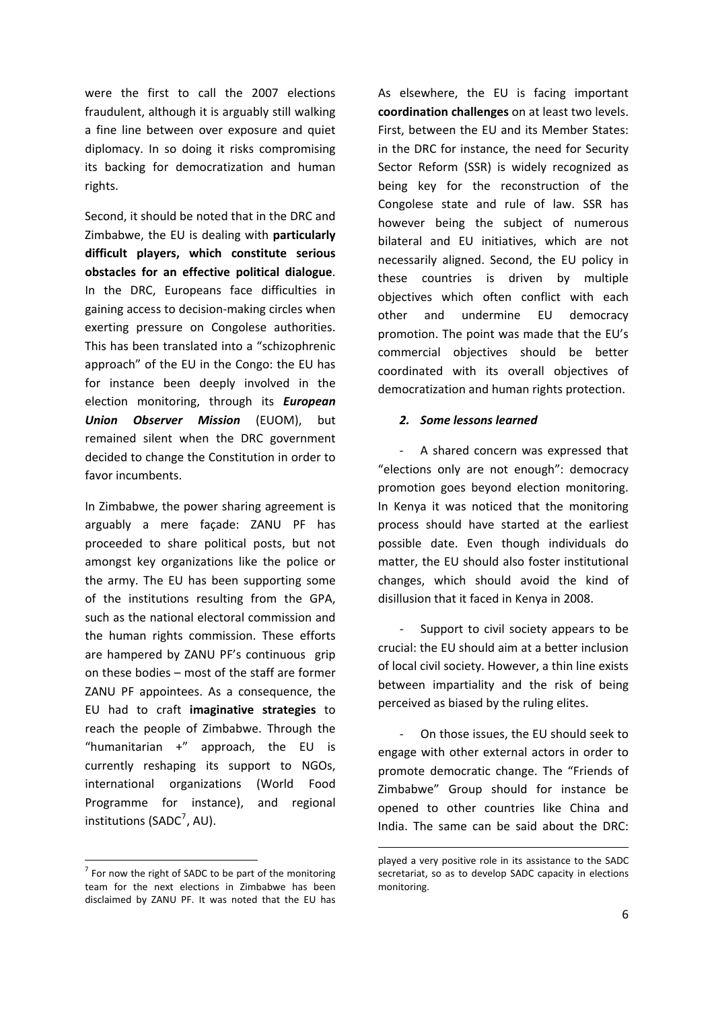were the first to call the 2007 elections fraudulent, although it is arguably still walking a fine line between over exposure and quiet diplomacy. In so doing it risks compromising its backing for democratization and human rights.

Second, it should be noted that in the DRC and Zimbabwe, the EU is dealing with **particularly difficult players, which constitute serious obstacles for an effective political dialogue**. In the DRC, Europeans face difficulties in gaining access to decision‐making circles when exerting pressure on Congolese authorities. This has been translated into a "schizophrenic approach" of the EU in the Congo: the EU has for instance been deeply involved in the election monitoring, through its *European Union Observer Mission* (EUOM), but remained silent when the DRC government decided to change the Constitution in order to favor incumbents.

In Zimbabwe, the power sharing agreement is arguably a mere façade: ZANU PF has proceeded to share political posts, but not amongst key organizations like the police or the army. The EU has been supporting some of the institutions resulting from the GPA, such as the national electoral commission and the human rights commission. These efforts are hampered by ZANU PF's continuous grip on these bodies – most of the staff are former ZANU PF appointees. As a consequence, the EU had to craft **imaginative strategies** to reach the people of Zimbabwe. Through the "humanitarian +" approach, the EU is currently reshaping its support to NGOs, international organizations (World Food Programme for instance), and regional institutions (SADC<sup>[7](#page-5-0)</sup>, AU).

<span id="page-5-0"></span> $7$  For now the right of SADC to be part of the monitoring team for the next elections in Zimbabwe has been disclaimed by ZANU PF. It was noted that the EU has

As elsewhere, the EU is facing important **coordination challenges** on at least two levels. First, between the EU and its Member States: in the DRC for instance, the need for Security Sector Reform (SSR) is widely recognized as being key for the reconstruction of the Congolese state and rule of law. SSR has however being the subject of numerous bilateral and EU initiatives, which are not necessarily aligned. Second, the EU policy in these countries is driven by multiple objectives which often conflict with each other and undermine EU democracy promotion. The point was made that the EU's commercial objectives should be better coordinated with its overall objectives of democratization and human rights protection.

#### *2. Some lessons learned*

‐ A shared concern was expressed that "elections only are not enough": democracy promotion goes beyond election monitoring. In Kenya it was noticed that the monitoring process should have started at the earliest possible date. Even though individuals do matter, the EU should also foster institutional changes, which should avoid the kind of disillusion that it faced in Kenya in 2008.

Support to civil society appears to be crucial: the EU should aim at a better inclusion of local civil society. However, a thin line exists between impartiality and the risk of being perceived as biased by the ruling elites.

‐ On those issues, the EU should seek to engage with other external actors in order to promote democratic change. The "Friends of Zimbabwe" Group should for instance be opened to other countries like China and India. The same can be said about the DRC:

<u> Andrew Maria (1989)</u>

played a very positive role in its assistance to the SADC secretariat, so as to develop SADC capacity in elections monitoring.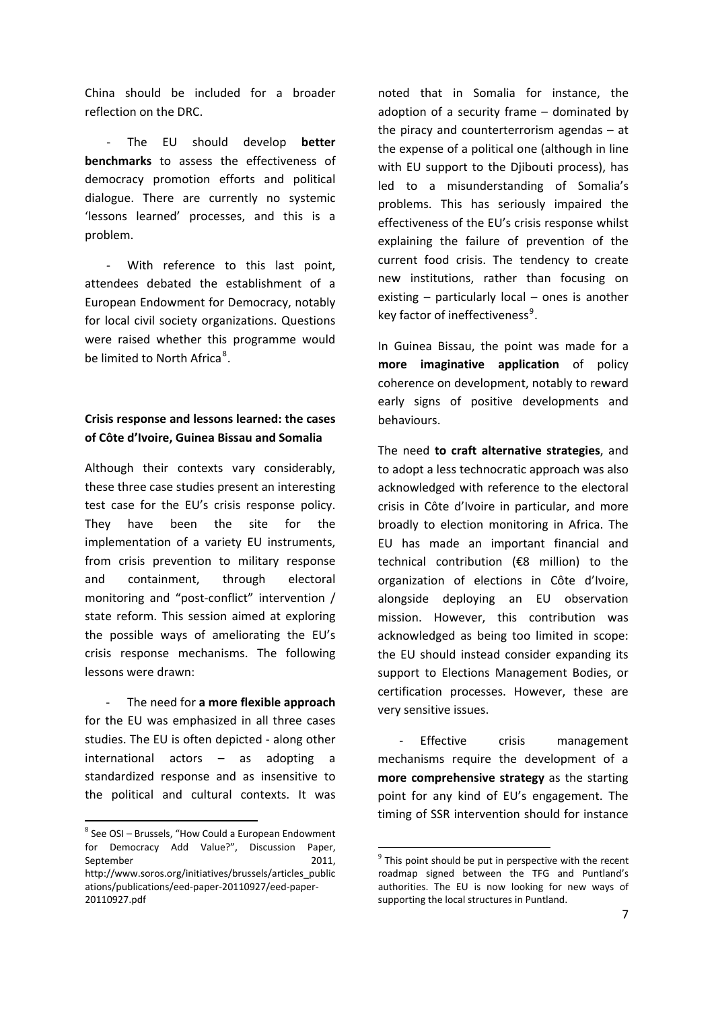China should be included for a broader reflection on the DRC.

‐ The EU should develop **better benchmarks** to assess the effectiveness of democracy promotion efforts and political dialogue. There are currently no systemic 'lessons learned' processes, and this is a problem.

‐ With reference to this last point, attendees debated the establishment of a European Endowment for Democracy, notably for local civil society organizations. Questions were raised whether this programme would be limited to North Africa<sup>[8](#page-6-0)</sup>.

#### **Crisis response and lessons learned: the cases of Côte d'Ivoire, Guinea Bissau and Somalia**

Although their contexts vary considerably, these three case studies present an interesting test case for the EU's crisis response policy. They have been the site for the implementation of a variety EU instruments, from crisis prevention to military response and containment, through electoral monitoring and "post-conflict" intervention / state reform. This session aimed at exploring the possible ways of ameliorating the EU's crisis response mechanisms. The following lessons were drawn:

‐ The need for **a more flexible approach** for the EU was emphasized in all three cases studies. The EU is often depicted ‐ along other international actors – as adopting a standardized response and as insensitive to the political and cultural contexts. It was

noted that in Somalia for instance, the adoption of a security frame – dominated by the piracy and counterterrorism agendas – at the expense of a political one (although in line with EU support to the Diibouti process), has led to a misunderstanding of Somalia's problems. This has seriously impaired the effectiveness of the EU's crisis response whilst explaining the failure of prevention of the current food crisis. The tendency to create new institutions, rather than focusing on existing – particularly local – ones is another key factor of ineffectiveness<sup>[9](#page-6-1)</sup>.

In Guinea Bissau, the point was made for a **more imaginative application** of policy coherence on development, notably to reward early signs of positive developments and behaviours.

The need **to craft alternative strategies**, and to adopt a less technocratic approach was also acknowledged with reference to the electoral crisis in Côte d'Ivoire in particular, and more broadly to election monitoring in Africa. The EU has made an important financial and technical contribution (€8 million) to the organization of elections in Côte d'Ivoire, alongside deploying an EU observation mission. However, this contribution was acknowledged as being too limited in scope: the EU should instead consider expanding its support to Elections Management Bodies, or certification processes. However, these are very sensitive issues.

Effective crisis management mechanisms require the development of a **more comprehensive strategy** as the starting point for any kind of EU's engagement. The timing of SSR intervention should for instance

<span id="page-6-0"></span><sup>8</sup> See OSI – Brussels, "How Could a European Endowment for Democracy Add Value?", Discussion Paper, September 2011,

<span id="page-6-1"></span>http://www.soros.org/initiatives/brussels/articles\_public ations/publications/eed‐paper‐20110927/eed‐paper‐ 20110927.pdf

 $9$  This point should be put in perspective with the recent roadmap signed between the TFG and Puntland's authorities. The EU is now looking for new ways of supporting the local structures in Puntland.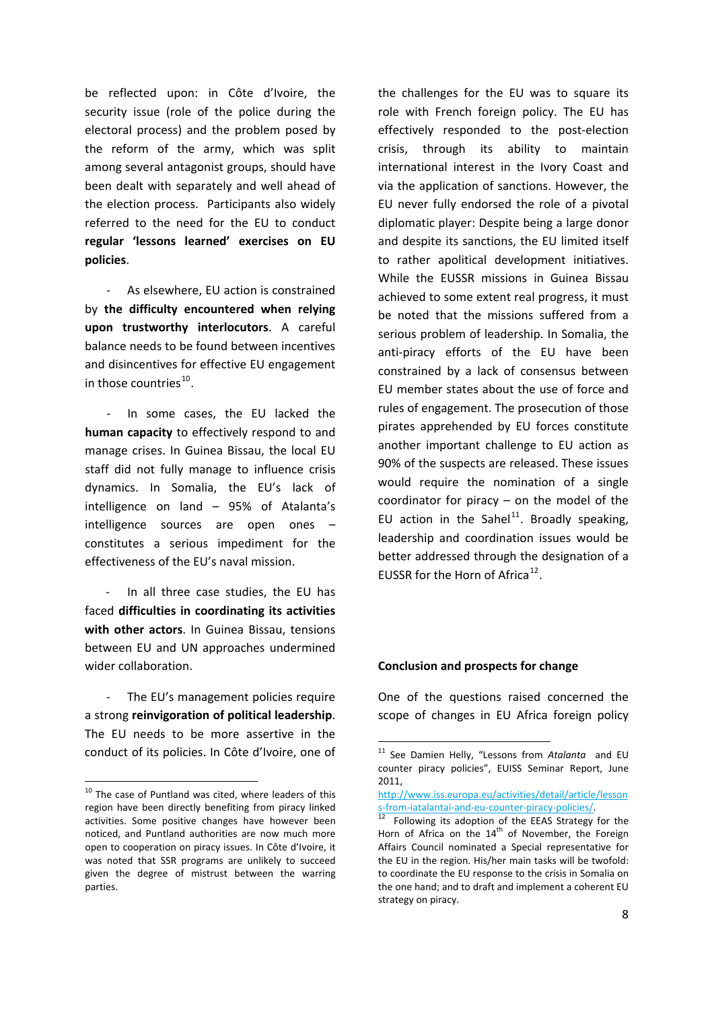be reflected upon: in Côte d'Ivoire, the security issue (role of the police during the electoral process) and the problem posed by the reform of the army, which was split among several antagonist groups, should have been dealt with separately and well ahead of the election process. Participants also widely referred to the need for the EU to conduct **regular 'lessons learned' exercises on EU policies**.

‐ As elsewhere, EU action is constrained by **the difficulty encountered when relying upon trustworthy interlocutors**. A careful balance needs to be found between incentives and disincentives for effective EU engagement in those countries $^{10}$  $^{10}$  $^{10}$ .

In some cases, the EU lacked the **human capacity** to effectively respond to and manage crises. In Guinea Bissau, the local EU staff did not fully manage to influence crisis dynamics. In Somalia, the EU's lack of intelligence on land – 95% of Atalanta's intelligence sources are open ones – constitutes a serious impediment for the effectiveness of the EU's naval mission.

‐ In all three case studies, the EU has faced **difficulties in coordinating its activities with other actors**. In Guinea Bissau, tensions between EU and UN approaches undermined wider collaboration.

The EU's management policies require a strong **reinvigoration of political leadership**. The EU needs to be more assertive in the conduct of its policies. In Côte d'Ivoire, one of

<span id="page-7-1"></span>

the challenges for the EU was to square its role with French foreign policy. The EU has effectively responded to the post-election crisis, through its ability to maintain international interest in the Ivory Coast and via the application of sanctions. However, the EU never fully endorsed the role of a pivotal diplomatic player: Despite being a large donor and despite its sanctions, the EU limited itself to rather apolitical development initiatives. While the EUSSR missions in Guinea Bissau achieved to some extent real progress, it must be noted that the missions suffered from a serious problem of leadership. In Somalia, the anti-piracy efforts of the EU have been constrained by a lack of consensus between EU member states about the use of force and rules of engagement. The prosecution of those pirates apprehended by EU forces constitute another important challenge to EU action as 90% of the suspects are released. These issues would require the nomination of a single coordinator for piracy – on the model of the EU action in the Sahel<sup>[11](#page-7-1)</sup>. Broadly speaking, leadership and coordination issues would be better addressed through the designation of a EUSSR for the Horn of Africa<sup>[12](#page-7-2)</sup>.

#### **Conclusion and prospects for change**

One of the questions raised concerned the scope of changes in EU Africa foreign policy

<span id="page-7-2"></span><span id="page-7-0"></span> $10$  The case of Puntland was cited, where leaders of this region have been directly benefiting from piracy linked activities. Some positive changes have however been noticed, and Puntland authorities are now much more open to cooperation on piracy issues. In Côte d'Ivoire, it was noted that SSR programs are unlikely to succeed given the degree of mistrust between the warring parties.

<sup>11</sup> See Damien Helly, "Lessons from *Atalanta* and EU counter piracy policies", EUISS Seminar Report, June 2011,

[http://www.iss.europa.eu/activities/detail/article/lesson](http://www.iss.europa.eu/activities/detail/article/lessons-from-iatalantai-and-eu-counter-piracy-policies/)<br>s-from-iatalantai-and-eu-counter-piracy-policies/.

 $\frac{12}{12}$  Following its adoption of the EEAS Strategy for the Horn of Africa on the  $14<sup>th</sup>$  of November, the Foreign Affairs Council nominated a Special representative for the EU in the region. His/her main tasks will be twofold: to coordinate the EU response to the crisis in Somalia on the one hand; and to draft and implement a coherent EU strategy on piracy.